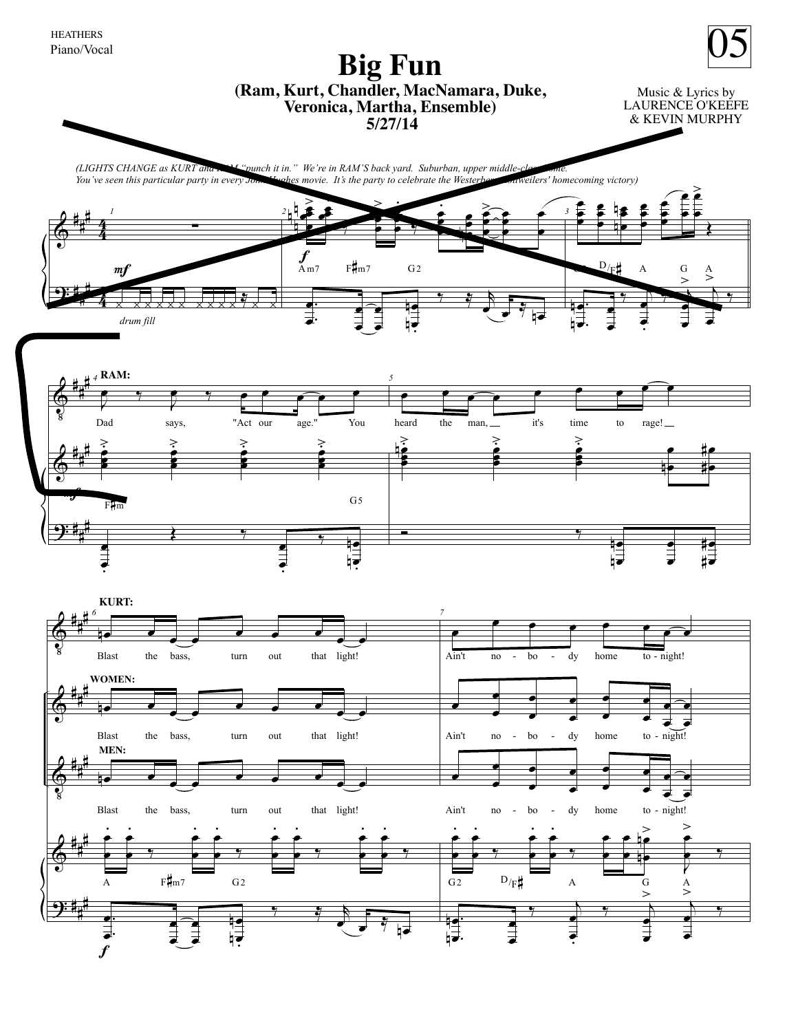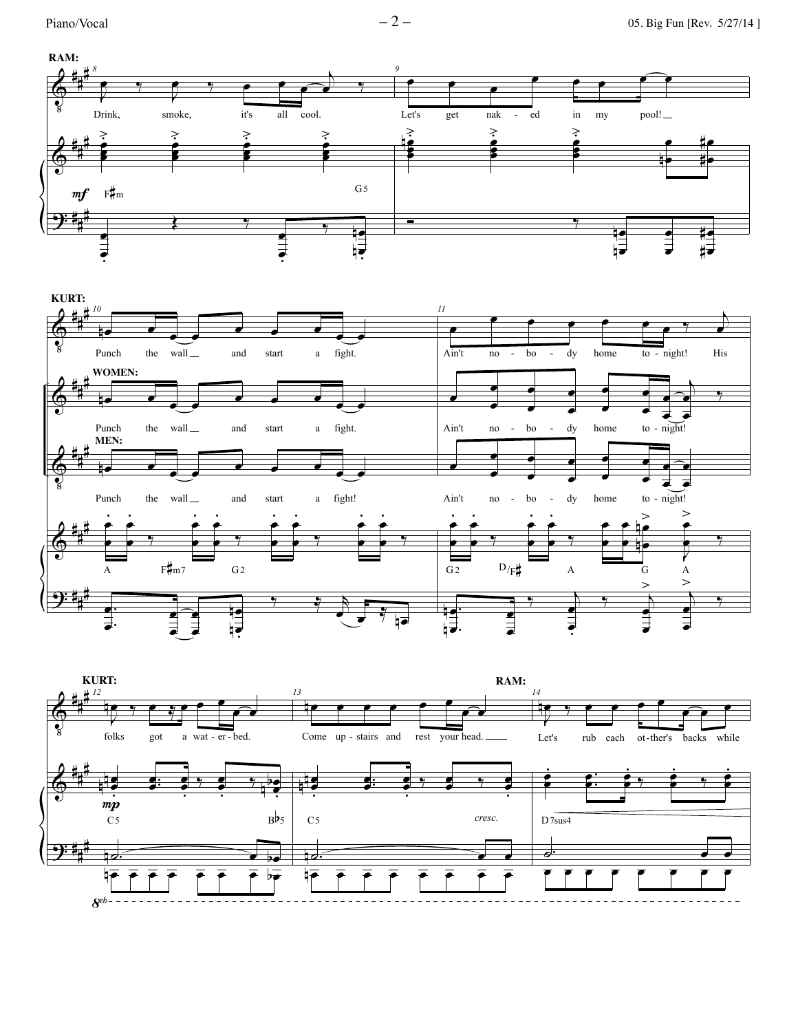



![](_page_1_Figure_5.jpeg)